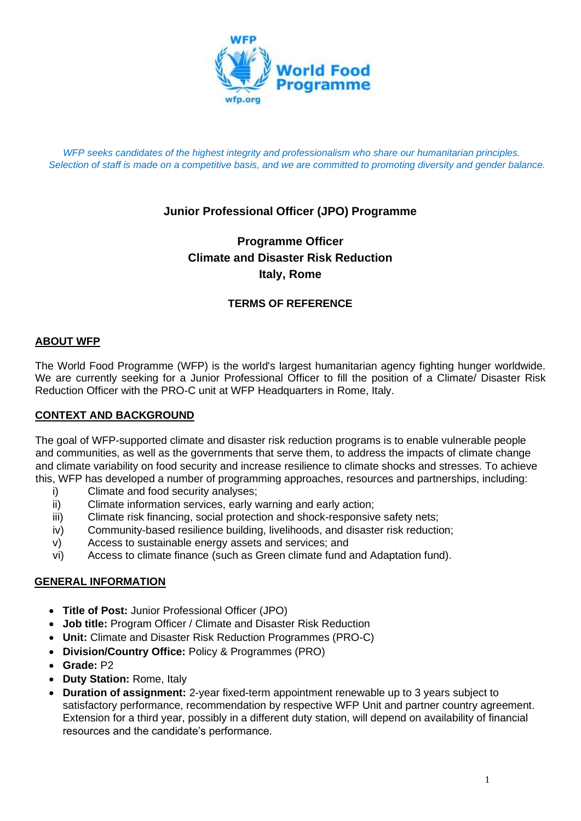

*WFP seeks candidates of the highest integrity and professionalism who share our humanitarian principles. Selection of staff is made on a competitive basis, and we are committed to promoting diversity and gender balance.*

# **Junior Professional Officer (JPO) Programme**

# **Programme Officer Climate and Disaster Risk Reduction Italy, Rome**

### **TERMS OF REFERENCE**

#### **ABOUT WFP**

The World Food Programme (WFP) is the world's largest humanitarian agency fighting hunger worldwide. We are currently seeking for a Junior Professional Officer to fill the position of a Climate/ Disaster Risk Reduction Officer with the PRO-C unit at WFP Headquarters in Rome, Italy.

#### **CONTEXT AND BACKGROUND**

The goal of WFP-supported climate and disaster risk reduction programs is to enable vulnerable people and communities, as well as the governments that serve them, to address the impacts of climate change and climate variability on food security and increase resilience to climate shocks and stresses. To achieve this, WFP has developed a number of programming approaches, resources and partnerships, including:

- i) Climate and food security analyses;
- ii) Climate information services, early warning and early action;
- iii) Climate risk financing, social protection and shock-responsive safety nets;
- iv) Community-based resilience building, livelihoods, and disaster risk reduction;
- v) Access to sustainable energy assets and services; and
- vi) Access to climate finance (such as Green climate fund and Adaptation fund).

#### **GENERAL INFORMATION**

- **Title of Post:** Junior Professional Officer (JPO)
- **Job title:** Program Officer / Climate and Disaster Risk Reduction
- **Unit:** Climate and Disaster Risk Reduction Programmes (PRO-C)
- **Division/Country Office:** Policy & Programmes (PRO)
- **Grade:** P2
- **Duty Station:** Rome, Italy
- **Duration of assignment:** 2-year fixed-term appointment renewable up to 3 years subject to satisfactory performance, recommendation by respective WFP Unit and partner country agreement. Extension for a third year, possibly in a different duty station, will depend on availability of financial resources and the candidate's performance.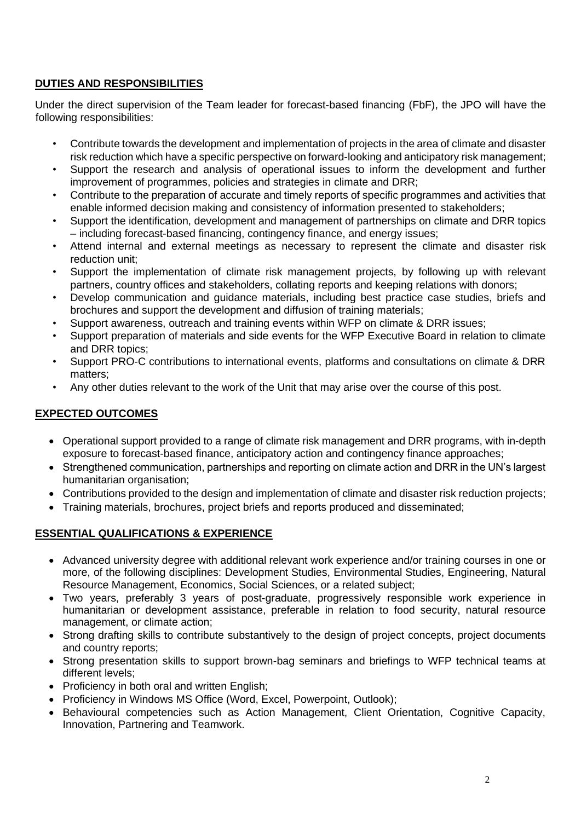### **DUTIES AND RESPONSIBILITIES**

Under the direct supervision of the Team leader for forecast-based financing (FbF), the JPO will have the following responsibilities:

- Contribute towards the development and implementation of projects in the area of climate and disaster risk reduction which have a specific perspective on forward-looking and anticipatory risk management;
- Support the research and analysis of operational issues to inform the development and further improvement of programmes, policies and strategies in climate and DRR;
- Contribute to the preparation of accurate and timely reports of specific programmes and activities that enable informed decision making and consistency of information presented to stakeholders;
- Support the identification, development and management of partnerships on climate and DRR topics – including forecast-based financing, contingency finance, and energy issues;
- Attend internal and external meetings as necessary to represent the climate and disaster risk reduction unit;
- Support the implementation of climate risk management projects, by following up with relevant partners, country offices and stakeholders, collating reports and keeping relations with donors;
- Develop communication and guidance materials, including best practice case studies, briefs and brochures and support the development and diffusion of training materials;
- Support awareness, outreach and training events within WFP on climate & DRR issues;
- Support preparation of materials and side events for the WFP Executive Board in relation to climate and DRR topics;
- Support PRO-C contributions to international events, platforms and consultations on climate & DRR matters;
- Any other duties relevant to the work of the Unit that may arise over the course of this post.

### **EXPECTED OUTCOMES**

- Operational support provided to a range of climate risk management and DRR programs, with in-depth exposure to forecast-based finance, anticipatory action and contingency finance approaches;
- Strengthened communication, partnerships and reporting on climate action and DRR in the UN's largest humanitarian organisation;
- Contributions provided to the design and implementation of climate and disaster risk reduction projects;
- Training materials, brochures, project briefs and reports produced and disseminated;

## **ESSENTIAL QUALIFICATIONS & EXPERIENCE**

- Advanced university degree with additional relevant work experience and/or training courses in one or more, of the following disciplines: Development Studies, Environmental Studies, Engineering, Natural Resource Management, Economics, Social Sciences, or a related subject;
- Two years, preferably 3 years of post-graduate, progressively responsible work experience in humanitarian or development assistance, preferable in relation to food security, natural resource management, or climate action;
- Strong drafting skills to contribute substantively to the design of project concepts, project documents and country reports;
- Strong presentation skills to support brown-bag seminars and briefings to WFP technical teams at different levels;
- Proficiency in both oral and written English;
- Proficiency in Windows MS Office (Word, Excel, Powerpoint, Outlook);
- Behavioural competencies such as Action Management, Client Orientation, Cognitive Capacity, Innovation, Partnering and Teamwork.